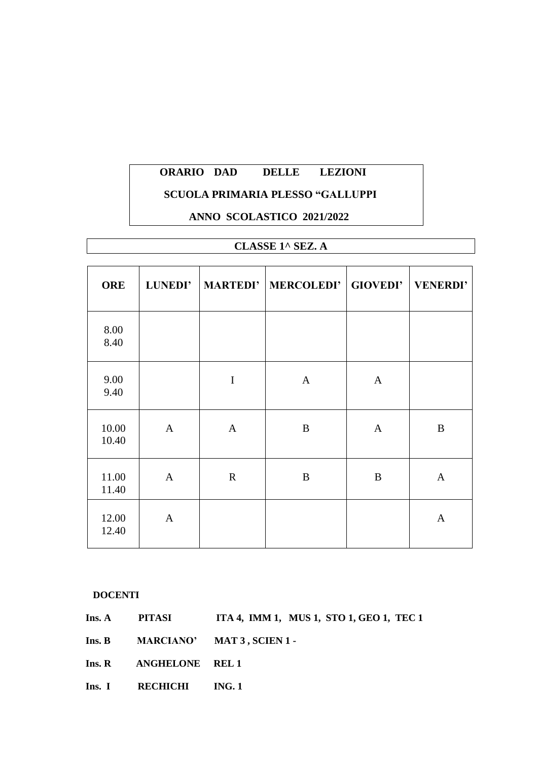# **SCUOLA PRIMARIA PLESSO "GALLUPPI**

#### **ANNO SCOLASTICO 2021/2022**

# **CLASSE 1^ SEZ. A**

| <b>ORE</b>     | <b>LUNEDI'</b> |              | MARTEDI'   MERCOLEDI'   GIOVEDI' |                  | <b>VENERDI'</b> |
|----------------|----------------|--------------|----------------------------------|------------------|-----------------|
| 8.00<br>8.40   |                |              |                                  |                  |                 |
| 9.00<br>9.40   |                | $\mathbf I$  | $\mathbf{A}$                     | $\mathbf{A}$     |                 |
| 10.00<br>10.40 | $\mathbf{A}$   | $\mathbf{A}$ | B                                | $\mathbf{A}$     | B               |
| 11.00<br>11.40 | $\mathbf{A}$   | $\mathbf R$  | B                                | $\boldsymbol{B}$ | $\mathbf{A}$    |
| 12.00<br>12.40 | $\mathbf{A}$   |              |                                  |                  | $\mathbf{A}$    |

#### **DOCENTI**

**Ins. A** PITASI ITA 4, IMM 1, MUS 1, STO 1, GEO 1, TEC 1

**Ins. B MARCIANO' MAT 3 , SCIEN 1 -**

**Ins. R ANGHELONE REL 1** 

Ins. I RECHICHI ING. 1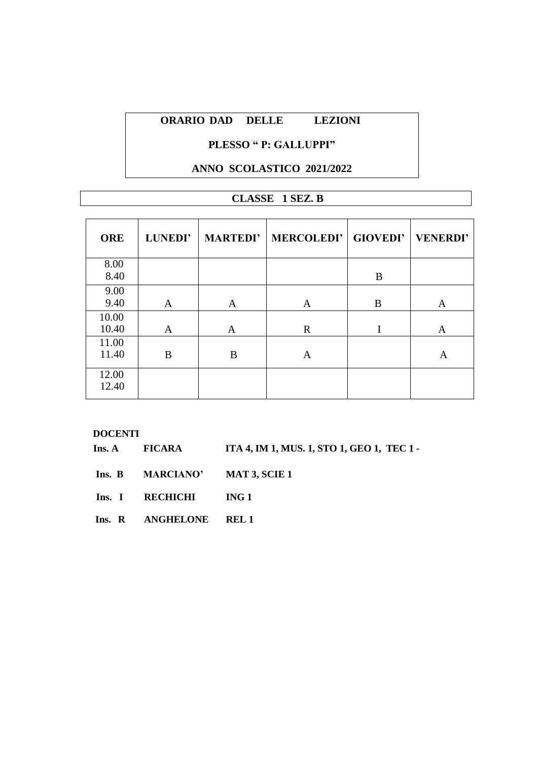# **PLESSO " P: GALLUPPI"**

## **ANNO SCOLASTICO 2021/2022**

# **CLASSE 1 SEZ. B**

| <b>ORE</b>     | <b>LUNEDI'</b> | <b>MARTEDI'</b> | <b>MERCOLEDI' GIOVEDI'</b> |   | <b>VENERDI'</b> |
|----------------|----------------|-----------------|----------------------------|---|-----------------|
| 8.00<br>8.40   |                |                 |                            | B |                 |
| 9.00<br>9.40   | A              | A               | A                          | B | A               |
| 10.00<br>10.40 | A              | A               | $\mathbf R$                | I | A               |
| 11.00<br>11.40 | B              | B               | A                          |   | A               |
| 12.00<br>12.40 |                |                 |                            |   |                 |

|  | Ins. A FICARA                  | ITA 4, IM 1, MUS. 1, STO 1, GEO 1, TEC 1 - |
|--|--------------------------------|--------------------------------------------|
|  | Ins. B MARCIANO' MAT 3, SCIE 1 |                                            |
|  | Ins. I RECHICHI ING 1          |                                            |
|  | Ins. R ANGHELONE REL 1         |                                            |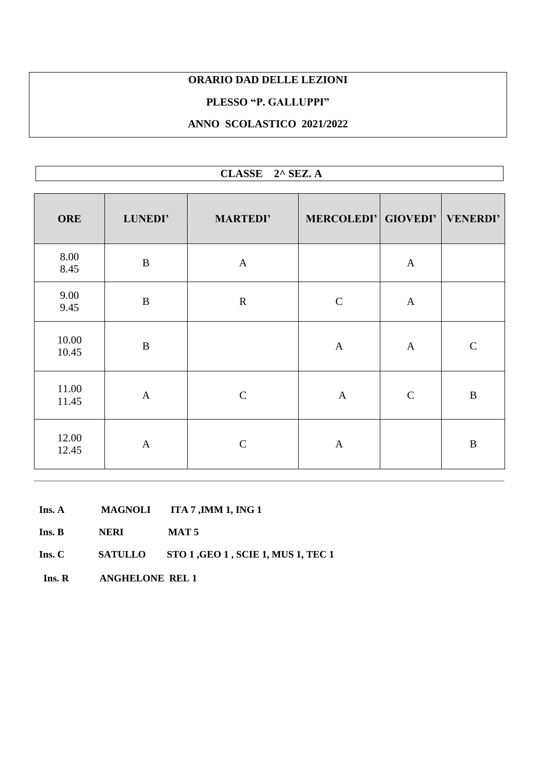#### **PLESSO "P. GALLUPPI"**

# **ANNO SCOLASTICO 2021/2022**

| CLASSE 2^ SEZ. A |              |                 |                              |              |              |  |  |
|------------------|--------------|-----------------|------------------------------|--------------|--------------|--|--|
| ORE              | LUNEDI'      | <b>MARTEDI'</b> | MERCOLEDI' GIOVEDI' VENERDI' |              |              |  |  |
| 8.00<br>8.45     | $\, {\bf B}$ | $\mathbf{A}$    |                              | $\mathbf{A}$ |              |  |  |
| 9.00<br>9.45     | $\, {\bf B}$ | ${\bf R}$       | $\mathbf C$                  | $\mathbf{A}$ |              |  |  |
| 10.00<br>10.45   | $\bf{B}$     |                 | $\mathbf{A}$                 | $\mathbf{A}$ | $\mathbf C$  |  |  |
| 11.00<br>11.45   | $\mathbf{A}$ | $\mathbf C$     | $\mathbf{A}$                 | $\mathbf C$  | $\, {\bf B}$ |  |  |
| 12.00<br>12.45   | $\mathbf{A}$ | $\mathbf C$     | $\mathbf{A}$                 |              | $\, {\bf B}$ |  |  |

- **Ins. A MAGNOLI ITA 7 ,IMM 1, ING 1**
- **Ins. B NERI MAT 5**
- **Ins. C SATULLO STO 1 ,GEO 1 , SCIE 1, MUS 1, TEC 1**
- **Ins. R ANGHELONE REL 1**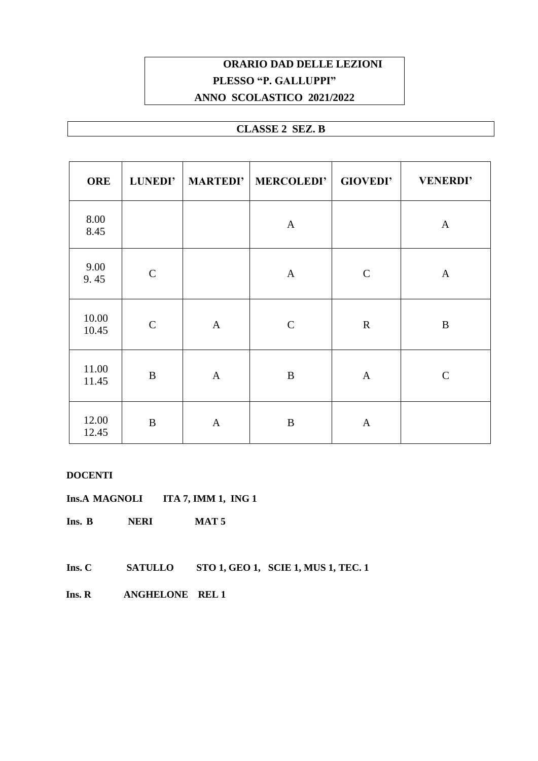# **ORARIO DAD DELLE LEZIONI PLESSO "P. GALLUPPI" ANNO SCOLASTICO 2021/2022**

# **CLASSE 2 SEZ. B**

| <b>ORE</b>     | <b>LUNEDI'</b> |              | MARTEDI' MERCOLEDI' | <b>GIOVEDI'</b> | <b>VENERDI'</b> |
|----------------|----------------|--------------|---------------------|-----------------|-----------------|
| 8.00<br>8.45   |                |              | $\mathbf{A}$        |                 | $\mathbf{A}$    |
| 9.00<br>9.45   | $\mathbf C$    |              | $\mathbf{A}$        | $\mathbf C$     | $\mathbf{A}$    |
| 10.00<br>10.45 | $\mathbf C$    | $\mathbf{A}$ | $\mathbf C$         | $\mathbf R$     | $\mathbf B$     |
| 11.00<br>11.45 | $\, {\bf B}$   | $\mathbf{A}$ | $\bf{B}$            | $\mathbf{A}$    | $\mathcal{C}$   |
| 12.00<br>12.45 | $\bf{B}$       | $\mathbf{A}$ | B                   | $\mathbf{A}$    |                 |

#### **DOCENTI**

**Ins.A MAGNOLI ITA 7, IMM 1, ING 1**

- **Ins. B NERI MAT 5**
- **Ins. C SATULLO STO 1, GEO 1, SCIE 1, MUS 1, TEC. 1**
- **Ins. R ANGHELONE REL 1**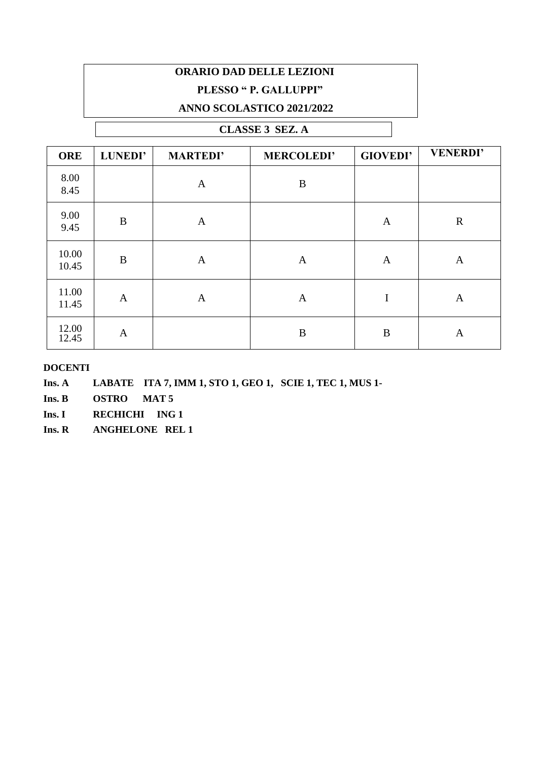# **ORARIO DAD DELLE LEZIONI PLESSO " P. GALLUPPI" ANNO SCOLASTICO 2021/2022**

# **CLASSE 3 SEZ. A**

| <b>ORE</b>     | <b>LUNEDI'</b> | <b>MARTEDI'</b> | <b>MERCOLEDI'</b> | <b>GIOVEDI'</b> | <b>VENERDI'</b> |
|----------------|----------------|-----------------|-------------------|-----------------|-----------------|
| 8.00<br>8.45   |                | $\mathbf{A}$    | $\, {\bf B}$      |                 |                 |
| 9.00<br>9.45   | $\bf{B}$       | A               |                   | A               | $\mathbf R$     |
| 10.00<br>10.45 | $\bf{B}$       | $\mathbf{A}$    | $\mathbf{A}$      | $\mathbf{A}$    | $\mathbf{A}$    |
| 11.00<br>11.45 | $\mathbf{A}$   | $\mathbf{A}$    | A                 | I               | A               |
| 12.00<br>12.45 | $\mathbf{A}$   |                 | B                 | B               | $\mathbf{A}$    |

- **Ins. A LABATE ITA 7, IMM 1, STO 1, GEO 1, SCIE 1, TEC 1, MUS 1-**
- **Ins. B OSTRO MAT 5**
- **Ins. I RECHICHI ING 1**
- **Ins. R ANGHELONE REL 1**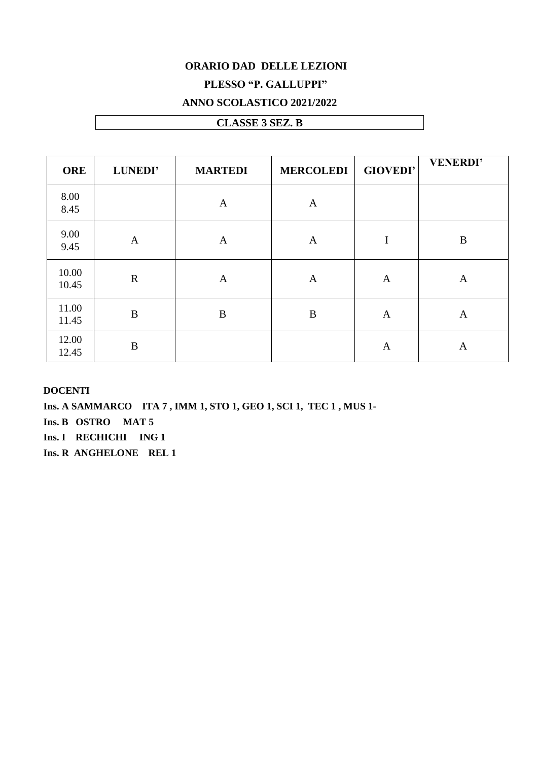# **PLESSO "P. GALLUPPI"**

### **ANNO SCOLASTICO 2021/2022**

# **CLASSE 3 SEZ. B**

| <b>ORE</b>     | <b>LUNEDI'</b>   | <b>MARTEDI</b> | <b>MERCOLEDI</b> | <b>GIOVEDI'</b> | <b>VENERDI'</b> |
|----------------|------------------|----------------|------------------|-----------------|-----------------|
| 8.00<br>8.45   |                  | $\mathbf{A}$   | $\mathbf{A}$     |                 |                 |
| 9.00<br>9.45   | $\mathbf{A}$     | $\mathbf{A}$   | $\mathbf{A}$     | I               | B               |
| 10.00<br>10.45 | $\mathbf R$      | A              | A                | A               | A               |
| 11.00<br>11.45 | $\boldsymbol{B}$ | $\bf{B}$       | $\bf{B}$         | A               | $\mathbf{A}$    |
| 12.00<br>12.45 | $\boldsymbol{B}$ |                |                  | A               | A               |

#### **DOCENTI**

**Ins. A SAMMARCO ITA 7 , IMM 1, STO 1, GEO 1, SCI 1, TEC 1 , MUS 1- Ins. B OSTRO MAT 5 Ins. I RECHICHI ING 1 Ins. R ANGHELONE REL 1**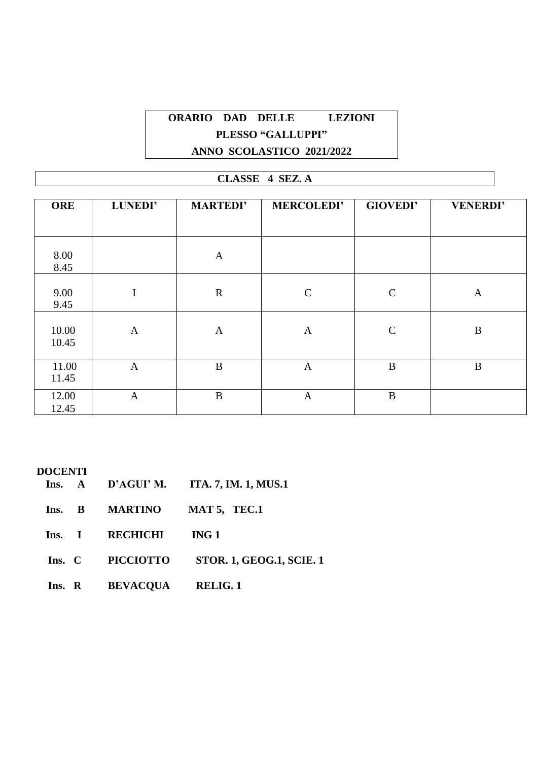# **ORARIO DAD DELLE LEZIONI PLESSO "GALLUPPI" ANNO SCOLASTICO 2021/2022**

# **CLASSE 4 SEZ. A**

| <b>ORE</b>     | LUNEDI'      | <b>MARTEDI'</b> | <b>MERCOLEDI'</b> | <b>GIOVEDI'</b> | <b>VENERDI'</b> |
|----------------|--------------|-----------------|-------------------|-----------------|-----------------|
|                |              |                 |                   |                 |                 |
| 8.00<br>8.45   |              | $\mathbf{A}$    |                   |                 |                 |
| 9.00<br>9.45   | I            | $\mathbf R$     | $\mathbf C$       | $\mathbf C$     | A               |
| 10.00<br>10.45 | $\mathbf{A}$ | $\mathbf{A}$    | $\mathbf{A}$      | $\mathbf C$     | $\bf{B}$        |
| 11.00<br>11.45 | $\mathbf{A}$ | $\bf{B}$        | $\mathbf{A}$      | $\bf{B}$        | B               |
| 12.00<br>12.45 | $\mathbf{A}$ | $\, {\bf B}$    | $\mathbf{A}$      | $\bf{B}$        |                 |

|        |                          | Ins. $A$ D'AGUI' M. ITA. 7, IM. 1, MUS.1 |
|--------|--------------------------|------------------------------------------|
| Ins. B | <b>MARTINO</b>           | MAT 5, TEC.1                             |
|        | Ins. I RECHICHI          | ING 1                                    |
|        | Ins. C PICCIOTTO         | <b>STOR. 1, GEOG.1, SCIE. 1</b>          |
|        | Ins. R BEVACQUA RELIG. 1 |                                          |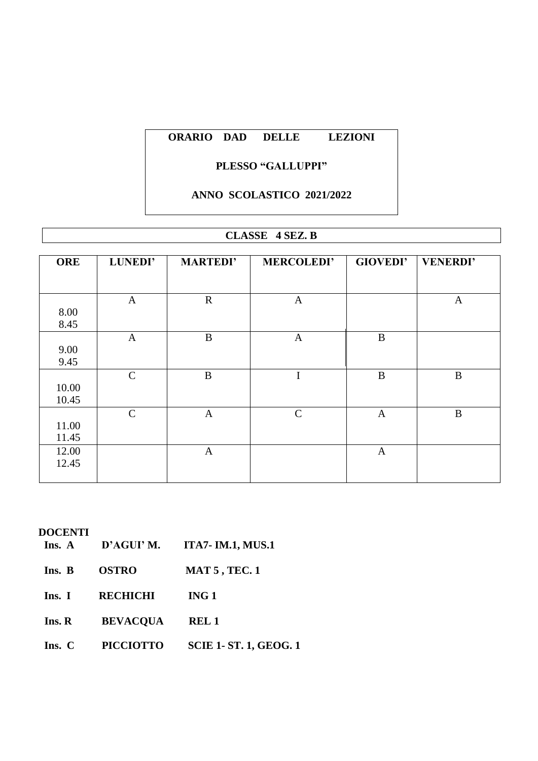## **PLESSO "GALLUPPI"**

# **ANNO SCOLASTICO 2021/2022**

## **CLASSE 4 SEZ. B**

| <b>ORE</b> | LUNEDI'       | <b>MARTEDI'</b> | <b>MERCOLEDI'</b> | <b>GIOVEDI'</b> | <b>VENERDI'</b> |
|------------|---------------|-----------------|-------------------|-----------------|-----------------|
|            |               |                 |                   |                 |                 |
|            |               |                 |                   |                 |                 |
|            | $\mathbf{A}$  | $\mathbf R$     | $\mathbf{A}$      |                 | $\mathbf{A}$    |
| 8.00       |               |                 |                   |                 |                 |
| 8.45       |               |                 |                   |                 |                 |
|            | $\mathbf{A}$  | $\bf{B}$        | $\mathbf{A}$      | $\bf{B}$        |                 |
| 9.00       |               |                 |                   |                 |                 |
| 9.45       |               |                 |                   |                 |                 |
|            | $\mathcal{C}$ | $\bf{B}$        | $\mathbf I$       | $\bf{B}$        | $\, {\bf B}$    |
| 10.00      |               |                 |                   |                 |                 |
| 10.45      |               |                 |                   |                 |                 |
|            | $\mathbf C$   | $\mathbf{A}$    | $\mathbf C$       | $\mathbf{A}$    | $\, {\bf B}$    |
| 11.00      |               |                 |                   |                 |                 |
|            |               |                 |                   |                 |                 |
| 11.45      |               |                 |                   |                 |                 |
| 12.00      |               | $\mathbf{A}$    |                   | $\mathbf{A}$    |                 |
| 12.45      |               |                 |                   |                 |                 |
|            |               |                 |                   |                 |                 |

# **DOCENTI**

**Ins. A D'AGUI' M. ITA7- IM.1, MUS.1**

| <b>OSTRO</b><br>Ins. B | <b>MAT 5, TEC. 1</b> |
|------------------------|----------------------|
|------------------------|----------------------|

**Ins. I RECHICHI ING 1**

**Ins. R BEVACQUA REL 1**

**Ins. C PICCIOTTO SCIE 1- ST. 1, GEOG. 1**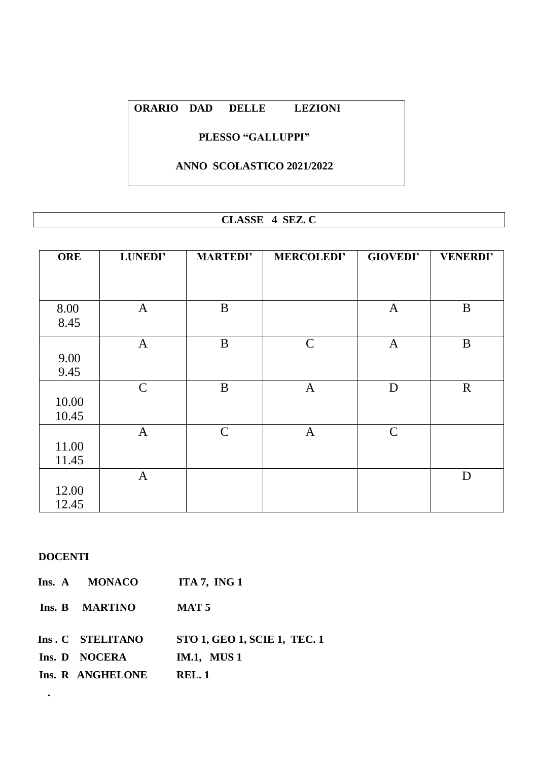# **PLESSO "GALLUPPI"**

# **ANNO SCOLASTICO 2021/2022**

# **CLASSE 4 SEZ. C**

| <b>ORE</b> | LUNEDI'      | <b>MARTEDI'</b> | <b>MERCOLEDI'</b> | <b>GIOVEDI'</b> | <b>VENERDI'</b> |
|------------|--------------|-----------------|-------------------|-----------------|-----------------|
|            |              |                 |                   |                 |                 |
|            |              |                 |                   |                 |                 |
| 8.00       | $\mathbf{A}$ | $\bf{B}$        |                   | $\mathbf{A}$    | B               |
| 8.45       |              |                 |                   |                 |                 |
|            | $\mathbf{A}$ | $\bf{B}$        | $\mathsf{C}$      | $\mathbf{A}$    | $\bf{B}$        |
| 9.00       |              |                 |                   |                 |                 |
| 9.45       |              |                 |                   |                 |                 |
|            | $\mathsf{C}$ | B               | $\mathbf{A}$      | D               | $\mathbf R$     |
| 10.00      |              |                 |                   |                 |                 |
| 10.45      |              |                 |                   |                 |                 |
|            | $\mathbf{A}$ | $\mathsf{C}$    | $\mathbf{A}$      | $\mathsf{C}$    |                 |
| 11.00      |              |                 |                   |                 |                 |
| 11.45      |              |                 |                   |                 |                 |
|            | $\mathbf{A}$ |                 |                   |                 | D               |
| 12.00      |              |                 |                   |                 |                 |
| 12.45      |              |                 |                   |                 |                 |

#### **DOCENTI**

**.**

| Ins. A MONACO    | ITA 7, ING $1$                      |
|------------------|-------------------------------------|
| Ins. B MARTINO   | <b>MAT 5</b>                        |
| Ins. C STELITANO | <b>STO 1, GEO 1, SCIE 1, TEC. 1</b> |
| Ins. D NOCERA    | <b>IM.1, MUS 1</b>                  |
| Ins. R ANGHELONE | <b>REL.1</b>                        |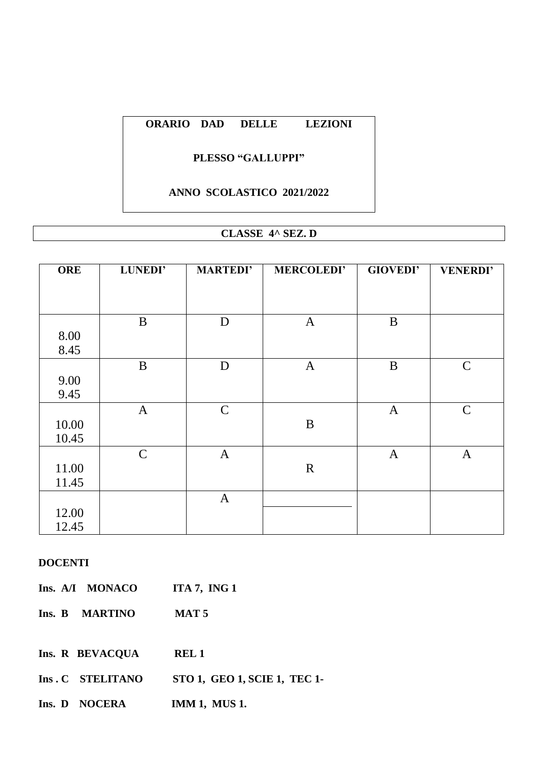#### **PLESSO "GALLUPPI"**

#### **ANNO SCOLASTICO 2021/2022**

# **CLASSE 4^ SEZ. D**

| <b>ORE</b> | LUNEDI'      | <b>MARTEDI'</b> | <b>MERCOLEDI'</b> | <b>GIOVEDI'</b> | <b>VENERDI'</b> |
|------------|--------------|-----------------|-------------------|-----------------|-----------------|
|            |              |                 |                   |                 |                 |
|            |              |                 |                   |                 |                 |
|            | B            | D               | $\mathbf{A}$      | B               |                 |
| 8.00       |              |                 |                   |                 |                 |
| 8.45       |              |                 |                   |                 |                 |
|            | $\bf{B}$     | D               | $\mathbf{A}$      | $\bf{B}$        | $\mathsf{C}$    |
| 9.00       |              |                 |                   |                 |                 |
| 9.45       |              |                 |                   |                 |                 |
|            | $\mathbf{A}$ | $\mathsf{C}$    |                   | $\mathbf{A}$    | $\mathsf{C}$    |
| 10.00      |              |                 | $\, {\bf B}$      |                 |                 |
| 10.45      |              |                 |                   |                 |                 |
|            | $\mathsf{C}$ | $\mathbf{A}$    |                   | $\mathbf{A}$    | $\mathbf{A}$    |
| 11.00      |              |                 | $\mathbf R$       |                 |                 |
| 11.45      |              |                 |                   |                 |                 |
|            |              | $\mathbf{A}$    |                   |                 |                 |
| 12.00      |              |                 |                   |                 |                 |
| 12.45      |              |                 |                   |                 |                 |

|  | Ins. A/I MONACO | ITA 7, ING $1$   |
|--|-----------------|------------------|
|  | Ins. B MARTINO  | MAT <sub>5</sub> |

- **Ins. R BEVACQUA REL 1**
- **Ins . C STELITANO STO 1, GEO 1, SCIE 1, TEC 1-**
- **Ins. D NOCERA IMM 1, MUS 1.**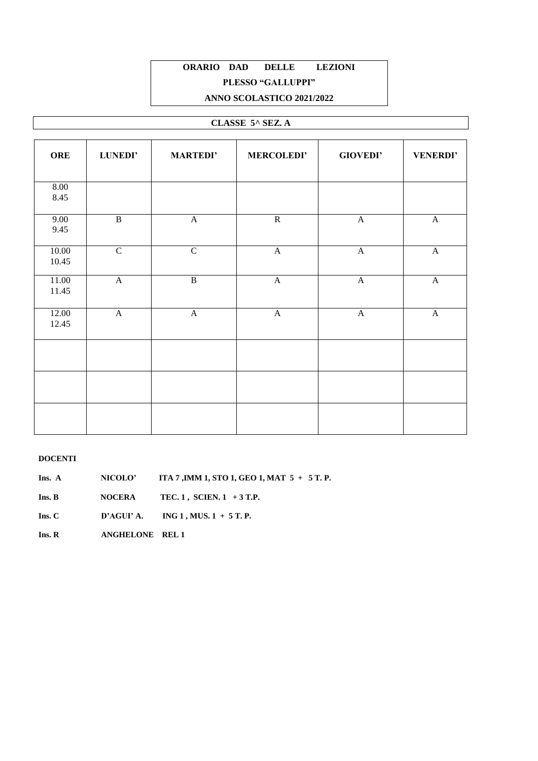# **ORARIO DAD DELLE LEZIONI PLESSO "GALLUPPI"**

#### **ANNO SCOLASTICO 2021/2022**

#### **CLASSE 5^ SEZ. A**

| <b>ORE</b>     | LUNEDI'        | <b>MARTEDI'</b>       | <b>MERCOLEDI'</b> | <b>GIOVEDI'</b>       | <b>VENERDI'</b>       |
|----------------|----------------|-----------------------|-------------------|-----------------------|-----------------------|
| 8.00<br>8.45   |                |                       |                   |                       |                       |
| 9.00<br>9.45   | $\overline{B}$ | $\boldsymbol{\rm{A}}$ | $\overline{R}$    | $\mathbf{A}$          | $\mathbf{A}$          |
| 10.00<br>10.45 | $\overline{C}$ | $\overline{C}$        | $\mathbf{A}$      | $\boldsymbol{\rm{A}}$ | $\boldsymbol{\rm{A}}$ |
| 11.00<br>11.45 | $\mathbf A$    | $\overline{B}$        | $\mathbf A$       | $\mathbf A$           | $\mathbf A$           |
| 12.00<br>12.45 | $\mathbf{A}$   | $\mathbf A$           | $\mathbf A$       | $\mathbf{A}$          | $\mathbf{A}$          |
|                |                |                       |                   |                       |                       |
|                |                |                       |                   |                       |                       |
|                |                |                       |                   |                       |                       |

#### **DOCENTI**

**Ins. A NICOLO' ITA 7 ,IMM 1, STO 1, GEO 1, MAT 5 + 5 T. P.**

**Ins. B NOCERA TEC. 1 , SCIEN. 1 + 3 T.P.**

**Ins. C D'AGUI' A. ING 1 , MUS. 1 + 5 T. P.** 

**Ins. R ANGHELONE REL 1**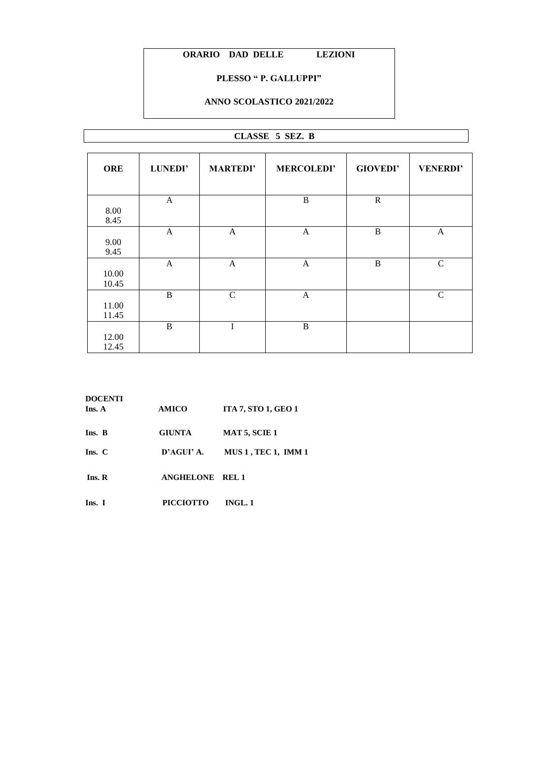#### **PLESSO " P. GALLUPPI"**

#### **ANNO SCOLASTICO 2021/2022**

#### **CLASSE 5 SEZ. B**

| <b>ORE</b>     | LUNEDI'      | <b>MARTEDI'</b> | <b>MERCOLEDI'</b> | <b>GIOVEDI'</b> | <b>VENERDI'</b> |
|----------------|--------------|-----------------|-------------------|-----------------|-----------------|
|                | $\mathbf{A}$ |                 | B                 | $\mathbb{R}$    |                 |
| 8.00<br>8.45   |              |                 |                   |                 |                 |
| 9.00<br>9.45   | $\mathbf{A}$ | $\mathbf{A}$    | $\mathbf{A}$      | B               | A               |
| 10.00<br>10.45 | $\mathbf{A}$ | $\mathbf{A}$    | $\mathbf{A}$      | B               | $\mathsf{C}$    |
| 11.00<br>11.45 | B            | $\mathcal{C}$   | $\mathbf{A}$      |                 | $\mathcal{C}$   |
| 12.00<br>12.45 | B            | I               | B                 |                 |                 |

| <b>DOCENTI</b><br>Ins. A | <b>AMICO</b>           | <b>ITA 7, STO 1, GEO 1</b> |
|--------------------------|------------------------|----------------------------|
| Ins. B                   | <b>GIUNTA</b>          | <b>MAT 5, SCIE 1</b>       |
| Ins. C                   | D'AGUI' A.             | <b>MUS 1, TEC 1, IMM 1</b> |
| Ins. R                   | <b>ANGHELONE REL 1</b> |                            |
| Ins. I                   | <b>PICCIOTTO</b>       | INGL.1                     |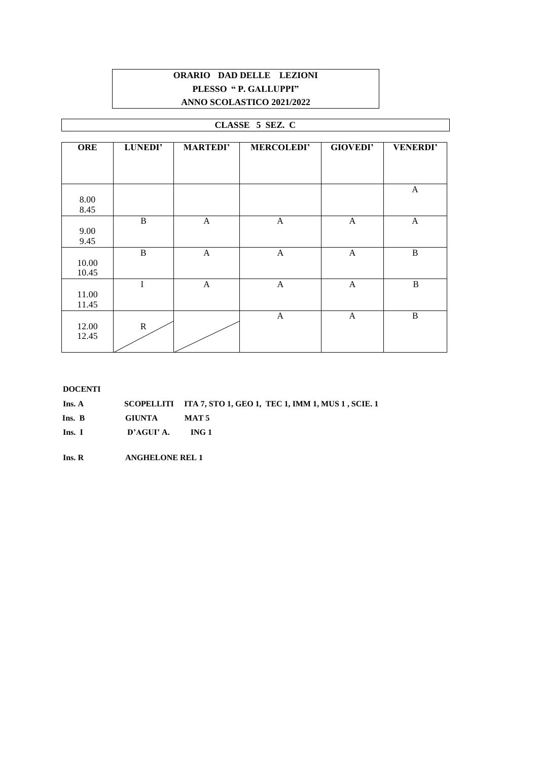# **ORARIO DAD DELLE LEZIONI PLESSO " P. GALLUPPI" ANNO SCOLASTICO 2021/2022**

#### **CLASSE 5 SEZ. C**

| <b>ORE</b>     | <b>LUNEDI'</b> | <b>MARTEDI'</b> | <b>MERCOLEDI'</b> | <b>GIOVEDI'</b> | <b>VENERDI'</b> |
|----------------|----------------|-----------------|-------------------|-----------------|-----------------|
|                |                |                 |                   |                 |                 |
|                |                |                 |                   |                 |                 |
| 8.00<br>8.45   |                |                 |                   |                 | A               |
| 9.00<br>9.45   | $\, {\bf B}$   | $\mathbf{A}$    | $\mathbf{A}$      | A               | A               |
| 10.00<br>10.45 | $\mathbf B$    | $\mathbf{A}$    | $\mathbf{A}$      | A               | $\, {\bf B}$    |
| 11.00<br>11.45 | $\mathbf I$    | $\mathbf{A}$    | $\mathbf{A}$      | A               | $\bf{B}$        |
| 12.00<br>12.45 | $\mathbf R$    |                 | $\mathbf{A}$      | $\mathbf{A}$    | B               |

| <b>DOCENTI</b> |               |                                                              |
|----------------|---------------|--------------------------------------------------------------|
| Ins. A         |               | SCOPELLITI ITA 7, STO 1, GEO 1, TEC 1, IMM 1, MUS 1, SCIE. 1 |
| Ins. B         | <b>GIUNTA</b> | <b>MAT5</b>                                                  |
| Ins. I         | D'AGUI' A.    | ING 1                                                        |

 **Ins. R ANGHELONE REL 1**